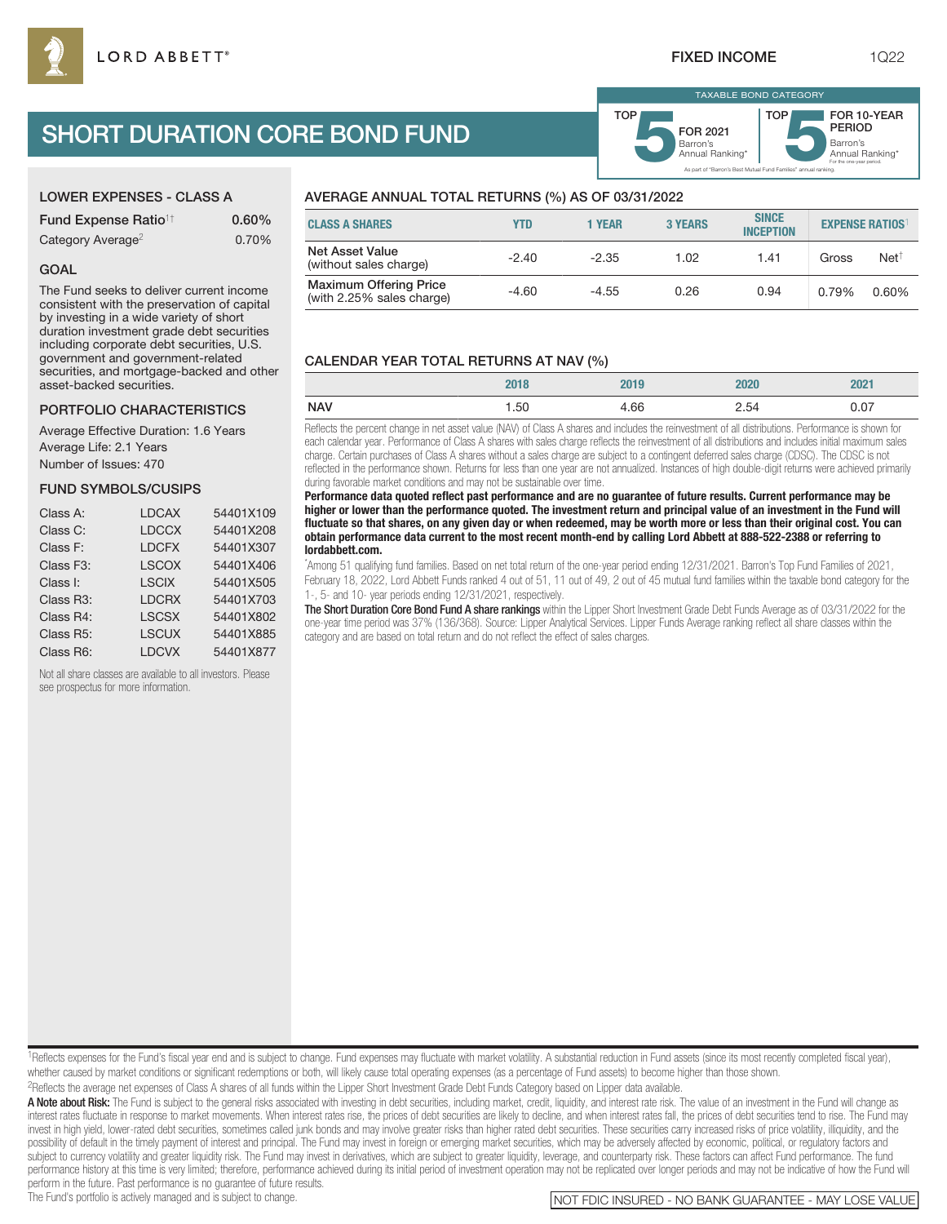# SHORT DURATION CORE BOND FUND

| <b>LOWER EXPENSES - CLASS A</b>        |          |  |  |  |
|----------------------------------------|----------|--|--|--|
| <b>Fund Expense Ratio<sup>1†</sup></b> | $0.60\%$ |  |  |  |
| Category Average <sup>2</sup>          | 0.70%    |  |  |  |

#### GOAL

The Fund seeks to deliver current income consistent with the preservation of capital by investing in a wide variety of short duration investment grade debt securities including corporate debt securities, U.S. government and government-related securities, and mortgage-backed and other asset-backed securities.

## PORTFOLIO CHARACTERISTICS

Average Effective Duration: 1.6 Years Average Life: 2.1 Years Number of Issues: 470

#### FUND SYMBOLS/CUSIPS

| Class A:  | <b>LDCAX</b> | 54401X109 |
|-----------|--------------|-----------|
| Class C:  | <b>LDCCX</b> | 54401X208 |
| Class F:  | <b>LDCFX</b> | 54401X307 |
| Class F3: | <b>LSCOX</b> | 54401X406 |
| Class I:  | <b>LSCIX</b> | 54401X505 |
| Class R3: | <b>LDCRX</b> | 54401X703 |
| Class R4: | <b>LSCSX</b> | 54401X802 |
| Class R5: | <b>LSCUX</b> | 54401X885 |
| Class R6: | <b>LDCVX</b> | 54401X877 |

Not all share classes are available to all investors. Please see prospectus for more information.

## AVERAGE ANNUAL TOTAL RETURNS (%) AS OF 03/31/2022

| <b>CLASS A SHARES</b>                                      | YTD     | 1 YEAR  | <b>3 YEARS</b> | <b>SINCE</b><br><b>INCEPTION</b> | <b>EXPENSE RATIOS</b> |                  |
|------------------------------------------------------------|---------|---------|----------------|----------------------------------|-----------------------|------------------|
| <b>Net Asset Value</b><br>(without sales charge)           | $-2.40$ | $-2.35$ | 1.02           | 1.41                             | Gross                 | Net <sup>†</sup> |
| <b>Maximum Offering Price</b><br>(with 2.25% sales charge) | $-4.60$ | $-4.55$ | 0.26           | 0.94                             | 0.79%                 | 0.60%            |

TOP

## CALENDAR YEAR TOTAL RETURNS AT NAV (%)

|                     | <b>ZUIO</b> | ΖU<br>טו | 2020 | 2021 |
|---------------------|-------------|----------|------|------|
| <b>NAV</b><br>$  -$ | . .50       | +.66     | 2.54 | 0.07 |

Reflects the percent change in net asset value (NAV) of Class A shares and includes the reinvestment of all distributions. Performance is shown for each calendar year. Performance of Class A shares with sales charge reflects the reinvestment of all distributions and includes initial maximum sales charge. Certain purchases of Class A shares without a sales charge are subject to a contingent deferred sales charge (CDSC). The CDSC is not reflected in the performance shown. Returns for less than one year are not annualized. Instances of high double-digit returns were achieved primarily during favorable market conditions and may not be sustainable over time.

**Performance data quoted reflect past performance and are no guarantee of future results. Current performance may be higher or lower than the performance quoted. The investment return and principal value of an investment in the Fund will fluctuate so that shares, on any given day or when redeemed, may be worth more or less than their original cost. You can obtain performance data current to the most recent month-end by calling Lord Abbett at 888-522-2388 or referring to lordabbett.com.**

\* Among 51 qualifying fund families. Based on net total return of the one-year period ending 12/31/2021. Barron's Top Fund Families of 2021, February 18, 2022, Lord Abbett Funds ranked 4 out of 51, 11 out of 49, 2 out of 45 mutual fund families within the taxable bond category for the 1-, 5- and 10- year periods ending 12/31/2021, respectively.

The Short Duration Core Bond Fund A share rankings within the Lipper Short Investment Grade Debt Funds Average as of 03/31/2022 for the one-year time period was 37% (136/368). Source: Lipper Analytical Services. Lipper Funds Average ranking reflect all share classes within the category and are based on total return and do not reflect the effect of sales charges.

<sup>1</sup>Reflects expenses for the Fund's fiscal year end and is subject to change. Fund expenses may fluctuate with market volatility. A substantial reduction in Fund assets (since its most recently completed fiscal year), whether caused by market conditions or significant redemptions or both, will likely cause total operating expenses (as a percentage of Fund assets) to become higher than those shown. 2Reflects the average net expenses of Class A shares of all funds within the Lipper Short Investment Grade Debt Funds Category based on Lipper data available.

A Note about Risk: The Fund is subject to the general risks associated with investing in debt securities, including market, credit, liquidity, and interest rate risk. The value of an investment in the Fund will change as interest rates fluctuate in response to market movements. When interest rates rise, the prices of debt securities are likely to decline, and when interest rates fall, the prices of debt securities tend to rise. The Fund may invest in high yield, lower-rated debt securities, sometimes called junk bonds and may involve greater risks than higher rated debt securities. These securities carry increased risks of price volatility, illiquidity, and t possibility of default in the timely payment of interest and principal. The Fund may invest in foreign or emerging market securities, which may be adversely affected by economic, political, or regulatory factors and subject to currency volatility and greater liquidity risk. The Fund may invest in derivatives, which are subject to greater liquidity, leverage, and counterparty risk. These factors can affect Fund performance. The fund performance history at this time is very limited; therefore, performance achieved during its initial period of investment operation may not be replicated over longer periods and may not be indicative of how the Fund will

perform in the future. Past performance is no guarantee of future results.<br>The Fund's portfolio is actively managed and is subject to change.

TAXABLE BOND CATEGORY

TOP

As part of "Barron's Best Mutual Fund Families" annual ranking.

Barron's **5**Annual Ranking\* FOR 2021

Barron's<br>Annual Ranking\*

For the one-year period.

FOR 10-YEAR PERIOD